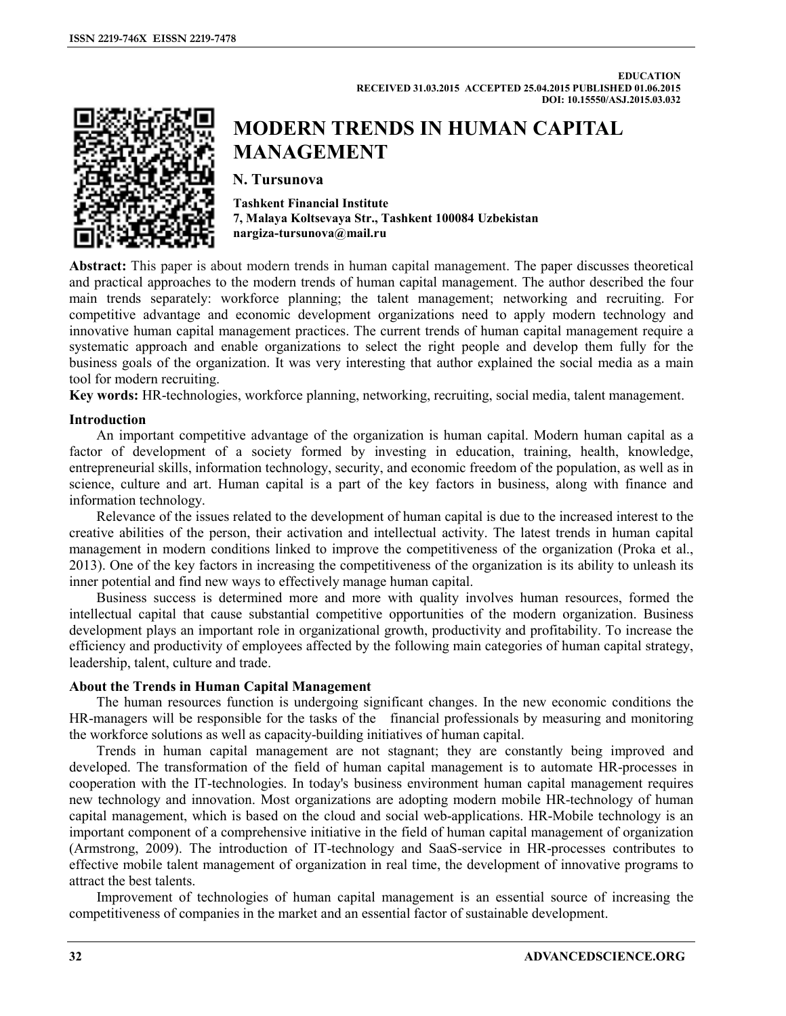

# **MODERN TRENDS IN HUMAN CAPITAL MANAGEMENT**

**N. Tursunova** 

**Tashkent Financial Institute 7, Malaya Koltsevaya Str., Tashkent 100084 Uzbekistan nargiza-tursunova@mail.ru** 

**Abstract:** This paper is about modern trends in human capital management. The paper discusses theoretical and practical approaches to the modern trends of human capital management. The author described the four main trends separately: workforce planning; the talent management; networking and recruiting. For competitive advantage and economic development organizations need to apply modern technology and innovative human capital management practices. The current trends of human capital management require a systematic approach and enable organizations to select the right people and develop them fully for the business goals of the organization. It was very interesting that author explained the social media as a main tool for modern recruiting.

**Key words:** HR-technologies, workforce planning, networking, recruiting, social media, talent management.

# **Introduction**

An important competitive advantage of the organization is human capital. Modern human capital as a factor of development of a society formed by investing in education, training, health, knowledge, entrepreneurial skills, information technology, security, and economic freedom of the population, as well as in science, culture and art. Human capital is a part of the key factors in business, along with finance and information technology.

Relevance of the issues related to the development of human capital is due to the increased interest to the creative abilities of the person, their activation and intellectual activity. The latest trends in human capital management in modern conditions linked to improve the competitiveness of the organization (Proka et al., 2013). One of the key factors in increasing the competitiveness of the organization is its ability to unleash its inner potential and find new ways to effectively manage human capital.

Business success is determined more and more with quality involves human resources, formed the intellectual capital that cause substantial competitive opportunities of the modern organization. Business development plays an important role in organizational growth, productivity and profitability. To increase the efficiency and productivity of employees affected by the following main categories of human capital strategy, leadership, talent, culture and trade.

## **About the Trends in Human Capital Management**

The human resources function is undergoing significant changes. In the new economic conditions the HR-managers will be responsible for the tasks of the financial professionals by measuring and monitoring the workforce solutions as well as capacity-building initiatives of human capital.

Trends in human capital management are not stagnant; they are constantly being improved and developed. The transformation of the field of human capital management is to automate HR-processes in cooperation with the IT-technologies. In today's business environment human capital management requires new technology and innovation. Most organizations are adopting modern mobile HR-technology of human capital management, which is based on the cloud and social web-applications. HR-Mobile technology is an important component of a comprehensive initiative in the field of human capital management of organization (Armstrong, 2009). The introduction of IT-technology and SaaS-service in HR-processes contributes to effective mobile talent management of organization in real time, the development of innovative programs to attract the best talents.

Improvement of technologies of human capital management is an essential source of increasing the competitiveness of companies in the market and an essential factor of sustainable development.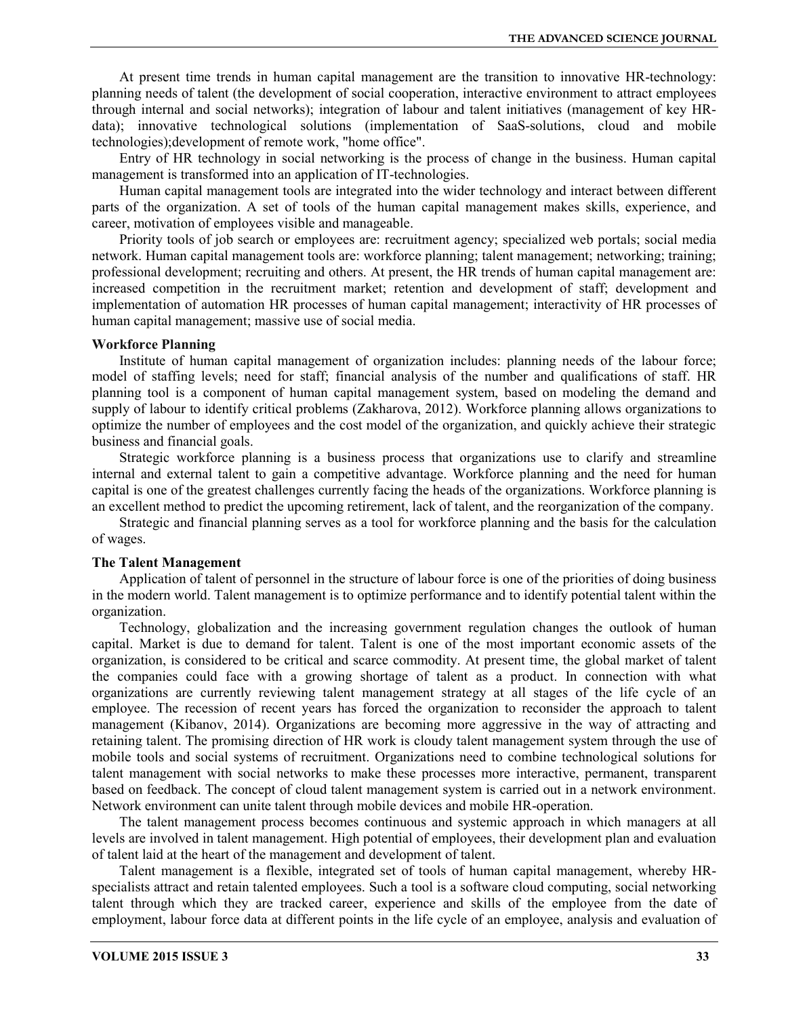At present time trends in human capital management are the transition to innovative HR-technology: planning needs of talent (the development of social cooperation, interactive environment to attract employees through internal and social networks); integration of labour and talent initiatives (management of key HRdata); innovative technological solutions (implementation of SaaS-solutions, cloud and mobile technologies);development of remote work, "home office".

Entry of HR technology in social networking is the process of change in the business. Human capital management is transformed into an application of IT-technologies.

Human capital management tools are integrated into the wider technology and interact between different parts of the organization. A set of tools of the human capital management makes skills, experience, and career, motivation of employees visible and manageable.

Priority tools of job search or employees are: recruitment agency; specialized web portals; social media network. Human capital management tools are: workforce planning; talent management; networking; training; professional development; recruiting and others. At present, the HR trends of human capital management are: increased competition in the recruitment market; retention and development of staff; development and implementation of automation HR processes of human capital management; interactivity of HR processes of human capital management; massive use of social media.

#### **Workforce Planning**

Institute of human capital management of organization includes: planning needs of the labour force; model of staffing levels; need for staff; financial analysis of the number and qualifications of staff. HR planning tool is a component of human capital management system, based on modeling the demand and supply of labour to identify critical problems (Zakharova, 2012). Workforce planning allows organizations to optimize the number of employees and the cost model of the organization, and quickly achieve their strategic business and financial goals.

Strategic workforce planning is a business process that organizations use to clarify and streamline internal and external talent to gain a competitive advantage. Workforce planning and the need for human capital is one of the greatest challenges currently facing the heads of the organizations. Workforce planning is an excellent method to predict the upcoming retirement, lack of talent, and the reorganization of the company.

Strategic and financial planning serves as a tool for workforce planning and the basis for the calculation of wages.

## **The Talent Management**

Application of talent of personnel in the structure of labour force is one of the priorities of doing business in the modern world. Talent management is to optimize performance and to identify potential talent within the organization.

Technology, globalization and the increasing government regulation changes the outlook of human capital. Market is due to demand for talent. Talent is one of the most important economic assets of the organization, is considered to be critical and scarce commodity. At present time, the global market of talent the companies could face with a growing shortage of talent as a product. In connection with what organizations are currently reviewing talent management strategy at all stages of the life cycle of an employee. The recession of recent years has forced the organization to reconsider the approach to talent management (Kibanov, 2014). Organizations are becoming more aggressive in the way of attracting and retaining talent. The promising direction of HR work is cloudy talent management system through the use of mobile tools and social systems of recruitment. Organizations need to combine technological solutions for talent management with social networks to make these processes more interactive, permanent, transparent based on feedback. The concept of cloud talent management system is carried out in a network environment. Network environment can unite talent through mobile devices and mobile HR-operation.

The talent management process becomes continuous and systemic approach in which managers at all levels are involved in talent management. High potential of employees, their development plan and evaluation of talent laid at the heart of the management and development of talent.

Talent management is a flexible, integrated set of tools of human capital management, whereby HRspecialists attract and retain talented employees. Such a tool is a software cloud computing, social networking talent through which they are tracked career, experience and skills of the employee from the date of employment, labour force data at different points in the life cycle of an employee, analysis and evaluation of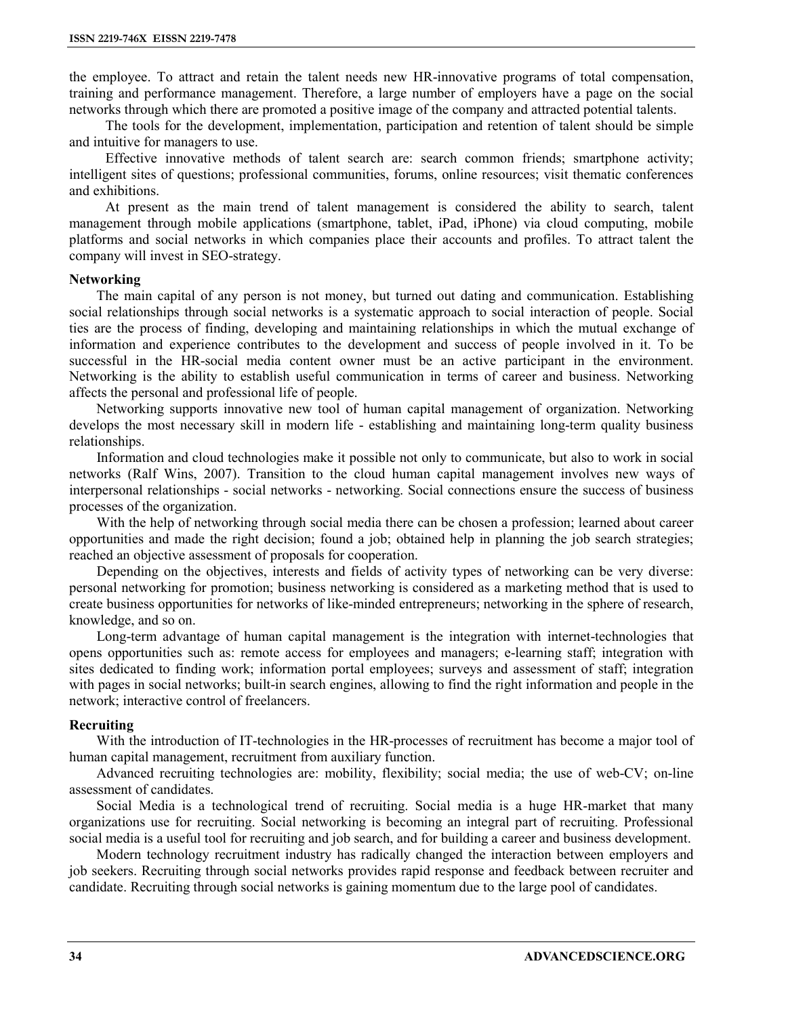the employee. To attract and retain the talent needs new HR-innovative programs of total compensation, training and performance management. Therefore, a large number of employers have a page on the social networks through which there are promoted a positive image of the company and attracted potential talents.

The tools for the development, implementation, participation and retention of talent should be simple and intuitive for managers to use.

Effective innovative methods of talent search are: search common friends; smartphone activity; intelligent sites of questions; professional communities, forums, online resources; visit thematic conferences and exhibitions.

At present as the main trend of talent management is considered the ability to search, talent management through mobile applications (smartphone, tablet, iPad, iPhone) via cloud computing, mobile platforms and social networks in which companies place their accounts and profiles. To attract talent the company will invest in SEO-strategy.

#### **Networking**

The main capital of any person is not money, but turned out dating and communication. Establishing social relationships through social networks is a systematic approach to social interaction of people. Social ties are the process of finding, developing and maintaining relationships in which the mutual exchange of information and experience contributes to the development and success of people involved in it. To be successful in the HR-social media content owner must be an active participant in the environment. Networking is the ability to establish useful communication in terms of career and business. Networking affects the personal and professional life of people.

Networking supports innovative new tool of human capital management of organization. Networking develops the most necessary skill in modern life - establishing and maintaining long-term quality business relationships.

Information and cloud technologies make it possible not only to communicate, but also to work in social networks (Ralf Wins, 2007). Transition to the cloud human capital management involves new ways of interpersonal relationships - social networks - networking. Social connections ensure the success of business processes of the organization.

With the help of networking through social media there can be chosen a profession; learned about career opportunities and made the right decision; found a job; obtained help in planning the job search strategies; reached an objective assessment of proposals for cooperation.

Depending on the objectives, interests and fields of activity types of networking can be very diverse: personal networking for promotion; business networking is considered as a marketing method that is used to create business opportunities for networks of like-minded entrepreneurs; networking in the sphere of research, knowledge, and so on.

Long-term advantage of human capital management is the integration with internet-technologies that opens opportunities such as: remote access for employees and managers; e-learning staff; integration with sites dedicated to finding work; information portal employees; surveys and assessment of staff; integration with pages in social networks; built-in search engines, allowing to find the right information and people in the network; interactive control of freelancers.

#### **Recruiting**

With the introduction of IT-technologies in the HR-processes of recruitment has become a major tool of human capital management, recruitment from auxiliary function.

Advanced recruiting technologies are: mobility, flexibility; social media; the use of web-CV; on-line assessment of candidates.

Social Media is a technological trend of recruiting. Social media is a huge HR-market that many organizations use for recruiting. Social networking is becoming an integral part of recruiting. Professional social media is a useful tool for recruiting and job search, and for building a career and business development.

Modern technology recruitment industry has radically changed the interaction between employers and job seekers. Recruiting through social networks provides rapid response and feedback between recruiter and candidate. Recruiting through social networks is gaining momentum due to the large pool of candidates.